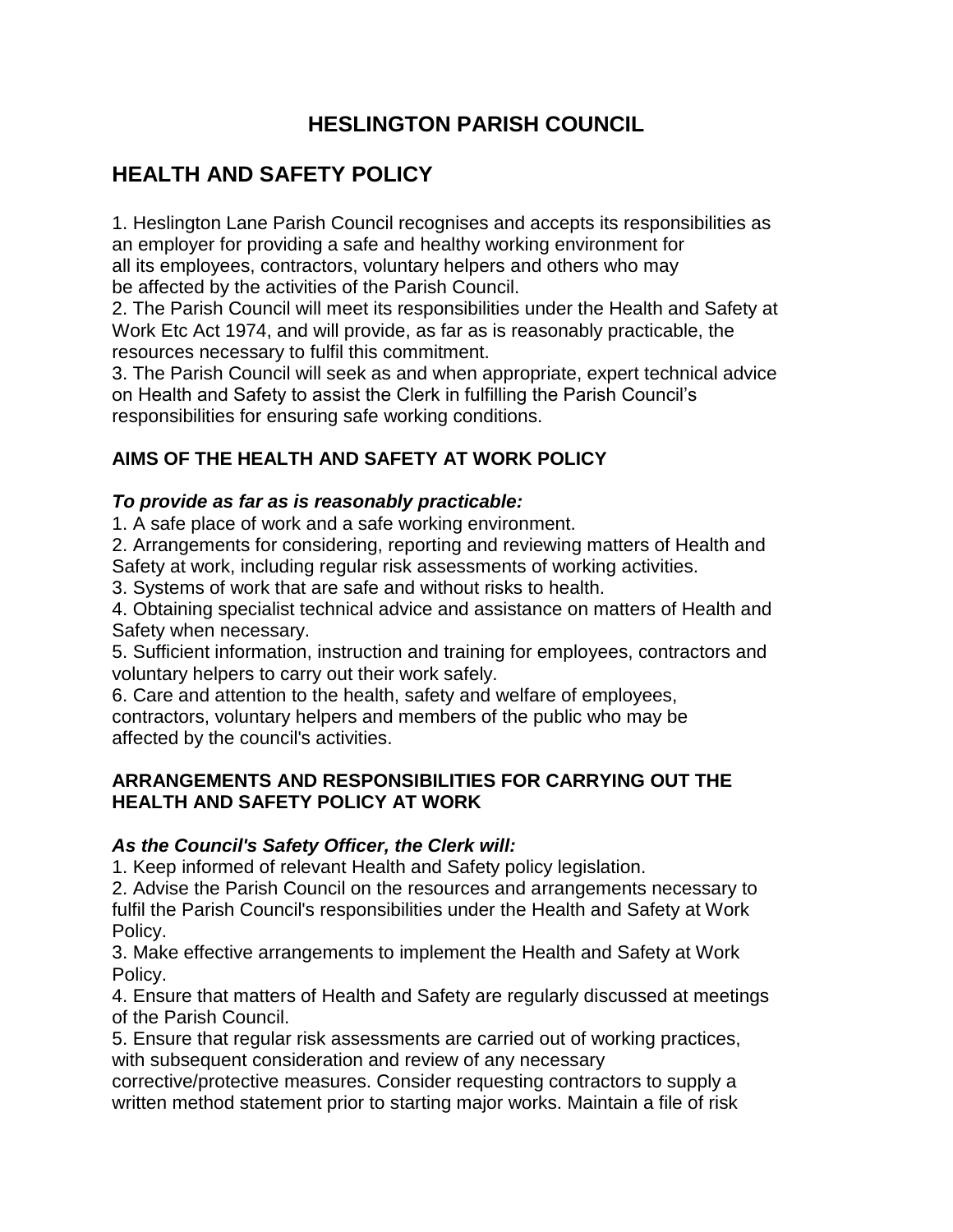## **HESLINGTON PARISH COUNCIL**

# **HEALTH AND SAFETY POLICY**

1. Heslington Lane Parish Council recognises and accepts its responsibilities as an employer for providing a safe and healthy working environment for all its employees, contractors, voluntary helpers and others who may be affected by the activities of the Parish Council.

2. The Parish Council will meet its responsibilities under the Health and Safety at Work Etc Act 1974, and will provide, as far as is reasonably practicable, the resources necessary to fulfil this commitment.

3. The Parish Council will seek as and when appropriate, expert technical advice on Health and Safety to assist the Clerk in fulfilling the Parish Council's responsibilities for ensuring safe working conditions.

## **AIMS OF THE HEALTH AND SAFETY AT WORK POLICY**

### *To provide as far as is reasonably practicable:*

1. A safe place of work and a safe working environment.

2. Arrangements for considering, reporting and reviewing matters of Health and Safety at work, including regular risk assessments of working activities.

3. Systems of work that are safe and without risks to health.

4. Obtaining specialist technical advice and assistance on matters of Health and Safety when necessary.

5. Sufficient information, instruction and training for employees, contractors and voluntary helpers to carry out their work safely.

6. Care and attention to the health, safety and welfare of employees,

contractors, voluntary helpers and members of the public who may be affected by the council's activities.

## **ARRANGEMENTS AND RESPONSIBILITIES FOR CARRYING OUT THE HEALTH AND SAFETY POLICY AT WORK**

## *As the Council's Safety Officer, the Clerk will:*

1. Keep informed of relevant Health and Safety policy legislation.

2. Advise the Parish Council on the resources and arrangements necessary to fulfil the Parish Council's responsibilities under the Health and Safety at Work Policy.

3. Make effective arrangements to implement the Health and Safety at Work Policy.

4. Ensure that matters of Health and Safety are regularly discussed at meetings of the Parish Council.

5. Ensure that regular risk assessments are carried out of working practices, with subsequent consideration and review of any necessary

corrective/protective measures. Consider requesting contractors to supply a written method statement prior to starting major works. Maintain a file of risk